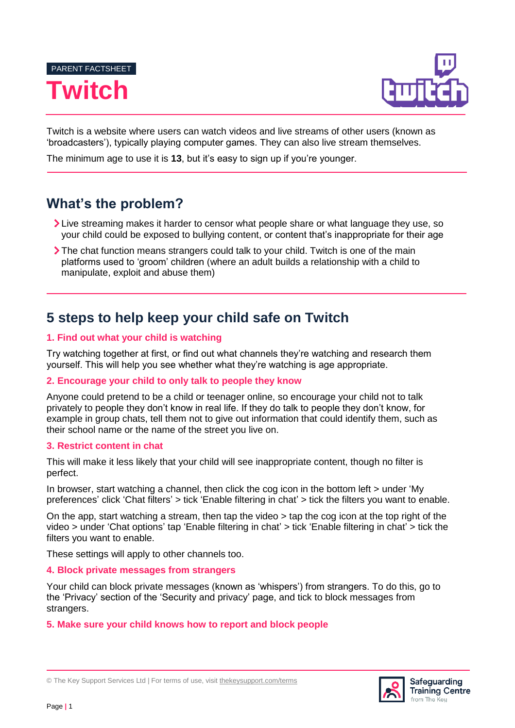



Twitch is a website where users can watch videos and live streams of other users (known as 'broadcasters'), typically playing computer games. They can also live stream themselves.

The minimum age to use it is **13**, but it's easy to sign up if you're younger.

# **What's the problem?**

- Live streaming makes it harder to censor what people share or what language they use, so your child could be exposed to bullying content, or content that's inappropriate for their age
- The chat function means strangers could talk to your child. Twitch is one of the main platforms used to 'groom' children (where an adult builds a relationship with a child to manipulate, exploit and abuse them)

# **5 steps to help keep your child safe on Twitch**

# **1. Find out what your child is watching**

Try watching together at first, or find out what channels they're watching and research them yourself. This will help you see whether what they're watching is age appropriate.

## **2. Encourage your child to only talk to people they know**

Anyone could pretend to be a child or teenager online, so encourage your child not to talk privately to people they don't know in real life. If they do talk to people they don't know, for example in group chats, tell them not to give out information that could identify them, such as their school name or the name of the street you live on.

## **3. Restrict content in chat**

This will make it less likely that your child will see inappropriate content, though no filter is perfect.

In browser, start watching a channel, then click the cog icon in the bottom left > under 'My preferences' click 'Chat filters' > tick 'Enable filtering in chat' > tick the filters you want to enable.

On the app, start watching a stream, then tap the video > tap the cog icon at the top right of the video > under 'Chat options' tap 'Enable filtering in chat' > tick 'Enable filtering in chat' > tick the filters you want to enable.

These settings will apply to other channels too.

### **4. Block private messages from strangers**

Your child can block private messages (known as 'whispers') from strangers. To do this, go to the 'Privacy' section of the 'Security and privacy' page, and tick to block messages from strangers.

## **5. Make sure your child knows how to report and block people**